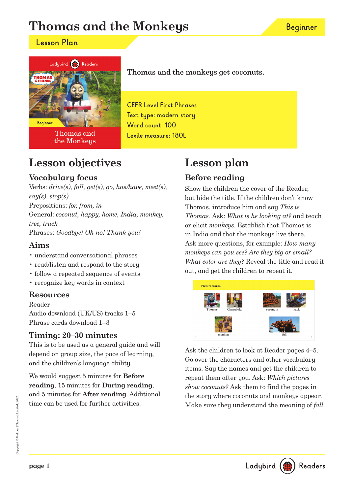# **Thomas and the Monkeys**

### **Lesson Plan**



Thomas and the Monkeys Thomas and the monkeys get coconuts.

**CEFR Level First Phrases Text type: modern story Word count: 100 Lexile measure: 180L**

# **Lesson objectives**

### **Vocabulary focus**

Verbs: drive(s), fall, get(s), go, has/have, meet(s),  $say(s), stop(s)$ Prepositions: for, from, in General: coconut, happy, home, India, monkey, tree, truck Phrases: Goodbye! Oh no! Thank you!

### **Aims**

- understand conversational phrases
- read/listen and respond to the story
- follow a repeated sequence of events
- recognize key words in context

### **Resources**

Reader

Audio download (UK/US) tracks 1–5 Phrase cards download 1–3

### **Timing: 20–30 minutes**

This is to be used as a general guide and will depend on group size, the pace of learning, and the children's language ability.

We would suggest 5 minutes for **Before reading**, 15 minutes for **During reading**, and 5 minutes for **After reading**. Additional time can be used for further activities.

### **Lesson plan Before reading**

Show the children the cover of the Reader, but hide the title. If the children don't know Thomas, introduce him and say This is Thomas. Ask: What is he looking at? and teach or elicit monkeys. Establish that Thomas is in India and that the monkeys live there. Ask more questions, for example: How many monkeys can you see? Are they big or small? What color are they? Reveal the title and read it out, and get the children to repeat it.



Ask the children to look at Reader pages 4–5. Go over the characters and other vocabulary items. Say the names and get the children to repeat them after you. Ask: Which pictures show coconuts? Ask them to find the pages in the story where coconuts and monkeys appear. Make sure they understand the meaning of *fall*.